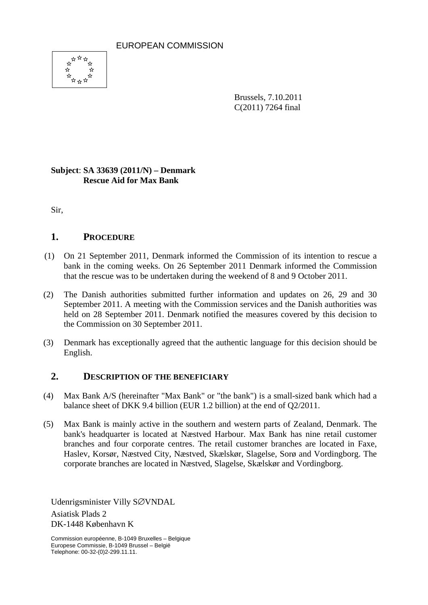EUROPEAN COMMISSION



Brussels, 7.10.2011 C(2011) 7264 final

## **Subject**: **SA 33639 (2011/N) – Denmark Rescue Aid for Max Bank**

Sir,

## **1. PROCEDURE**

- (1) On 21 September 2011, Denmark informed the Commission of its intention to rescue a bank in the coming weeks. On 26 September 2011 Denmark informed the Commission that the rescue was to be undertaken during the weekend of 8 and 9 October 2011.
- (2) The Danish authorities submitted further information and updates on 26, 29 and 30 September 2011. A meeting with the Commission services and the Danish authorities was held on 28 September 2011. Denmark notified the measures covered by this decision to the Commission on 30 September 2011.
- (3) Denmark has exceptionally agreed that the authentic language for this decision should be English.

### **2. DESCRIPTION OF THE BENEFICIARY**

- (4) Max Bank A/S (hereinafter "Max Bank" or "the bank") is a small-sized bank which had a balance sheet of DKK 9.4 billion (EUR 1.2 billion) at the end of Q2/2011.
- (5) Max Bank is mainly active in the southern and western parts of Zealand, Denmark. The bank's headquarter is located at Næstved Harbour. Max Bank has nine retail customer branches and four corporate centres. The retail customer branches are located in Faxe, Haslev, Korsør, Næstved City, Næstved, Skælskør, Slagelse, Sorø and Vordingborg. The corporate branches are located in Næstved, Slagelse, Skælskør and Vordingborg.

Udenrigsminister Villy S∅VNDAL

Asiatisk Plads 2 DK-1448 København K

Commission européenne, B-1049 Bruxelles – Belgique Europese Commissie, B-1049 Brussel – België Telephone: 00-32-(0)2-299.11.11.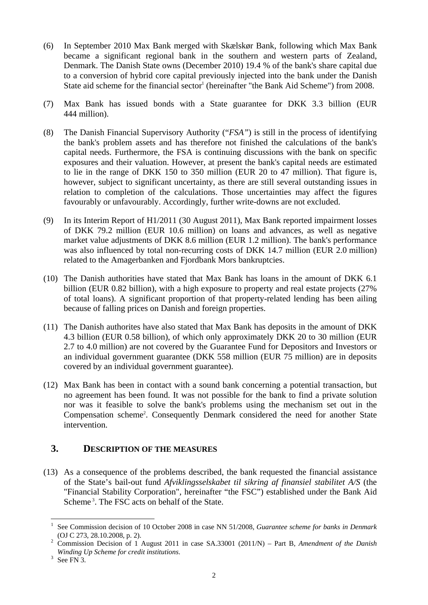- (6) In September 2010 Max Bank merged with Skælskør Bank, following which Max Bank became a significant regional bank in the southern and western parts of Zealand, Denmark. The Danish State owns (December 2010) 19.4 % of the bank's share capital due to a conversion of hybrid core capital previously injected into the bank under the Danish State aid scheme for the financial sector<sup>1</sup> (hereinafter "the Bank Aid Scheme") from 2008.
- (7) Max Bank has issued bonds with a State guarantee for DKK 3.3 billion (EUR 444 million).
- (8) The Danish Financial Supervisory Authority ("*FSA"*) is still in the process of identifying the bank's problem assets and has therefore not finished the calculations of the bank's capital needs. Furthermore, the FSA is continuing discussions with the bank on specific exposures and their valuation. However, at present the bank's capital needs are estimated to lie in the range of DKK 150 to 350 million (EUR 20 to 47 million). That figure is, however, subject to significant uncertainty, as there are still several outstanding issues in relation to completion of the calculations. Those uncertainties may affect the figures favourably or unfavourably. Accordingly, further write-downs are not excluded.
- (9) In its Interim Report of H1/2011 (30 August 2011), Max Bank reported impairment losses of DKK 79.2 million (EUR 10.6 million) on loans and advances, as well as negative market value adjustments of DKK 8.6 million (EUR 1.2 million). The bank's performance was also influenced by total non-recurring costs of DKK 14.7 million (EUR 2.0 million) related to the Amagerbanken and Fjordbank Mors bankruptcies.
- (10) The Danish authorities have stated that Max Bank has loans in the amount of DKK 6.1 billion (EUR 0.82 billion), with a high exposure to property and real estate projects (27% of total loans). A significant proportion of that property-related lending has been ailing because of falling prices on Danish and foreign properties.
- (11) The Danish authorites have also stated that Max Bank has deposits in the amount of DKK 4.3 billion (EUR 0.58 billion), of which only approximately DKK 20 to 30 million (EUR 2.7 to 4.0 million) are not covered by the Guarantee Fund for Depositors and Investors or an individual government guarantee (DKK 558 million (EUR 75 million) are in deposits covered by an individual government guarantee).
- (12) Max Bank has been in contact with a sound bank concerning a potential transaction, but no agreement has been found. It was not possible for the bank to find a private solution nor was it feasible to solve the bank's problems using the mechanism set out in the Compensation scheme<sup>2</sup>. Consequently Denmark considered the need for another State intervention.

## **3. DESCRIPTION OF THE MEASURES**

(13) As a consequence of the problems described, the bank requested the financial assistance of the State's bail-out fund *Afviklingsselskabet til sikring af finansiel stabilitet A/S* (the "Financial Stability Corporation", hereinafter "the FSC") established under the Bank Aid Scheme<sup>3</sup>. The FSC acts on behalf of the State.

<sup>1</sup> See Commission decision of 10 October 2008 in case NN 51/2008, *Guarantee scheme for banks in Denmark* (OJ C 273, 28.10.2008, p. 2).

Commission Decision of 1 August 2011 in case SA.33001 (2011/N) – Part B, *Amendment of the Danish Winding Up Scheme for credit institutions*. 3

 $3$  See FN 3.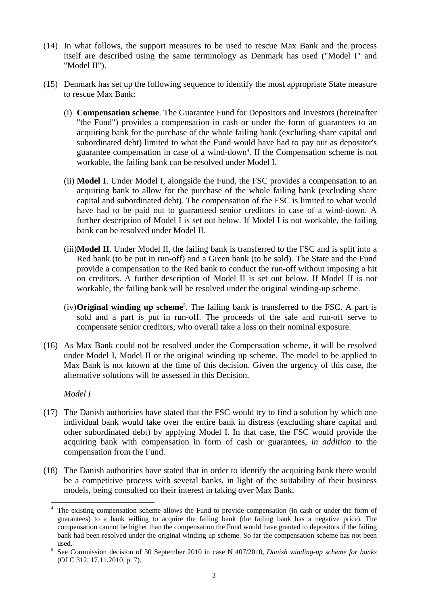- (14) In what follows, the support measures to be used to rescue Max Bank and the process itself are described using the same terminology as Denmark has used ("Model I" and "Model II").
- (15) Denmark has set up the following sequence to identify the most appropriate State measure to rescue Max Bank:
	- (i) **Compensation scheme**. The Guarantee Fund for Depositors and Investors (hereinafter "the Fund") provides a compensation in cash or under the form of guarantees to an acquiring bank for the purchase of the whole failing bank (excluding share capital and subordinated debt) limited to what the Fund would have had to pay out as depositor's guarantee compensation in case of a wind-down<sup>4</sup>. If the Compensation scheme is not workable, the failing bank can be resolved under Model I.
	- (ii) **Model I**. Under Model I, alongside the Fund, the FSC provides a compensation to an acquiring bank to allow for the purchase of the whole failing bank (excluding share capital and subordinated debt). The compensation of the FSC is limited to what would have had to be paid out to guaranteed senior creditors in case of a wind-down. A further description of Model I is set out below. If Model I is not workable, the failing bank can be resolved under Model II.
	- (iii)**Model II**. Under Model II, the failing bank is transferred to the FSC and is split into a Red bank (to be put in run-off) and a Green bank (to be sold). The State and the Fund provide a compensation to the Red bank to conduct the run-off without imposing a hit on creditors. A further description of Model II is set out below. If Model II is not workable, the failing bank will be resolved under the original winding-up scheme.
	- (iv)**Original winding up scheme**<sup>5</sup> . The failing bank is transferred to the FSC. A part is sold and a part is put in run-off. The proceeds of the sale and run-off serve to compensate senior creditors, who overall take a loss on their nominal exposure.
- (16) As Max Bank could not be resolved under the Compensation scheme, it will be resolved under Model I, Model II or the original winding up scheme. The model to be applied to Max Bank is not known at the time of this decision. Given the urgency of this case, the alternative solutions will be assessed in this Decision.

*Model I* 

- (17) The Danish authorities have stated that the FSC would try to find a solution by which one individual bank would take over the entire bank in distress (excluding share capital and other subordinated debt) by applying Model I. In that case, the FSC would provide the acquiring bank with compensation in form of cash or guarantees, *in addition* to the compensation from the Fund.
- (18) The Danish authorities have stated that in order to identify the acquiring bank there would be a competitive process with several banks, in light of the suitability of their business models, being consulted on their interest in taking over Max Bank.

<sup>1</sup> 4 The existing compensation scheme allows the Fund to provide compensation (in cash or under the form of guarantees) to a bank willing to acquire the failing bank (the failing bank has a negative price). The compensation cannot be higher than the compensation the Fund would have granted to depositors if the failing bank had been resolved under the original winding up scheme. So far the compensation scheme has not been  $used.$ 

See Commission decision of 30 September 2010 in case N 407/2010, *Danish winding-up scheme for banks* (OJ C 312, 17.11.2010, p. 7).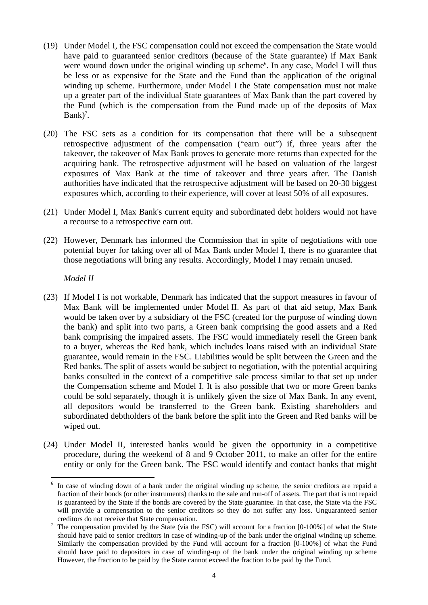- (19) Under Model I, the FSC compensation could not exceed the compensation the State would have paid to guaranteed senior creditors (because of the State guarantee) if Max Bank were wound down under the original winding up scheme<sup>6</sup>. In any case, Model I will thus be less or as expensive for the State and the Fund than the application of the original winding up scheme. Furthermore, under Model I the State compensation must not make up a greater part of the individual State guarantees of Max Bank than the part covered by the Fund (which is the compensation from the Fund made up of the deposits of Max  $Bank$ <sup>7</sup>.
- (20) The FSC sets as a condition for its compensation that there will be a subsequent retrospective adjustment of the compensation ("earn out") if, three years after the takeover, the takeover of Max Bank proves to generate more returns than expected for the acquiring bank. The retrospective adjustment will be based on valuation of the largest exposures of Max Bank at the time of takeover and three years after. The Danish authorities have indicated that the retrospective adjustment will be based on 20-30 biggest exposures which, according to their experience, will cover at least 50% of all exposures.
- (21) Under Model I, Max Bank's current equity and subordinated debt holders would not have a recourse to a retrospective earn out.
- (22) However, Denmark has informed the Commission that in spite of negotiations with one potential buyer for taking over all of Max Bank under Model I, there is no guarantee that those negotiations will bring any results. Accordingly, Model I may remain unused.

*Model II* 

- (23) If Model I is not workable, Denmark has indicated that the support measures in favour of Max Bank will be implemented under Model II. As part of that aid setup, Max Bank would be taken over by a subsidiary of the FSC (created for the purpose of winding down the bank) and split into two parts, a Green bank comprising the good assets and a Red bank comprising the impaired assets. The FSC would immediately resell the Green bank to a buyer, whereas the Red bank, which includes loans raised with an individual State guarantee, would remain in the FSC. Liabilities would be split between the Green and the Red banks. The split of assets would be subject to negotiation, with the potential acquiring banks consulted in the context of a competitive sale process similar to that set up under the Compensation scheme and Model I. It is also possible that two or more Green banks could be sold separately, though it is unlikely given the size of Max Bank. In any event, all depositors would be transferred to the Green bank. Existing shareholders and subordinated debtholders of the bank before the split into the Green and Red banks will be wiped out.
- (24) Under Model II, interested banks would be given the opportunity in a competitive procedure, during the weekend of 8 and 9 October 2011, to make an offer for the entire entity or only for the Green bank. The FSC would identify and contact banks that might

<sup>6</sup> In case of winding down of a bank under the original winding up scheme, the senior creditors are repaid a fraction of their bonds (or other instruments) thanks to the sale and run-off of assets. The part that is not repaid is guaranteed by the State if the bonds are covered by the State guarantee. In that case, the State via the FSC will provide a compensation to the senior creditors so they do not suffer any loss. Unguaranteed senior creditors do not receive that State compensation.<br>
<sup>7</sup> The compensation provided by the State (via the

The compensation provided by the State (via the FSC) will account for a fraction [0-100%] of what the State should have paid to senior creditors in case of winding-up of the bank under the original winding up scheme. Similarly the compensation provided by the Fund will account for a fraction [0-100%] of what the Fund should have paid to depositors in case of winding-up of the bank under the original winding up scheme However, the fraction to be paid by the State cannot exceed the fraction to be paid by the Fund.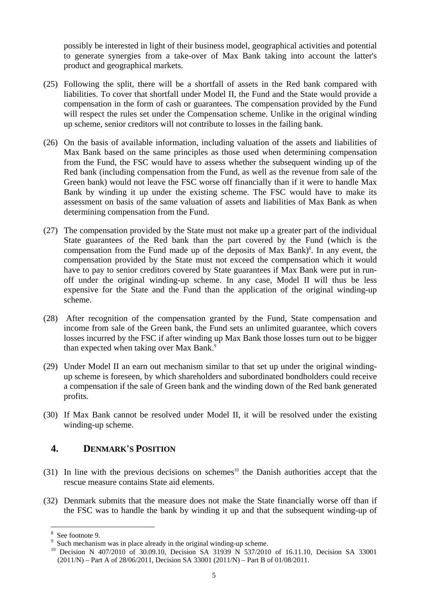possibly be interested in light of their business model, geographical activities and potential to generate synergies from a take-over of Max Bank taking into account the latter's product and geographical markets.

- (25) Following the split, there will be a shortfall of assets in the Red bank compared with liabilities. To cover that shortfall under Model II, the Fund and the State would provide a compensation in the form of cash or guarantees. The compensation provided by the Fund will respect the rules set under the Compensation scheme. Unlike in the original winding up scheme, senior creditors will not contribute to losses in the failing bank.
- (26) On the basis of available information, including valuation of the assets and liabilities of Max Bank based on the same principles as those used when determining compensation from the Fund, the FSC would have to assess whether the subsequent winding up of the Red bank (including compensation from the Fund, as well as the revenue from sale of the Green bank) would not leave the FSC worse off financially than if it were to handle Max Bank by winding it up under the existing scheme. The FSC would have to make its assessment on basis of the same valuation of assets and liabilities of Max Bank as when determining compensation from the Fund.
- (27) The compensation provided by the State must not make up a greater part of the individual State guarantees of the Red bank than the part covered by the Fund (which is the compensation from the Fund made up of the deposits of Max Bank)<sup>8</sup>. In any event, the compensation provided by the State must not exceed the compensation which it would have to pay to senior creditors covered by State guarantees if Max Bank were put in runoff under the original winding-up scheme. In any case, Model II will thus be less expensive for the State and the Fund than the application of the original winding-up scheme.
- (28) After recognition of the compensation granted by the Fund, State compensation and income from sale of the Green bank, the Fund sets an unlimited guarantee, which covers losses incurred by the FSC if after winding up Max Bank those losses turn out to be bigger than expected when taking over Max Bank.<sup>9</sup>
- (29) Under Model II an earn out mechanism similar to that set up under the original windingup scheme is foreseen, by which shareholders and subordinated bondholders could receive a compensation if the sale of Green bank and the winding down of the Red bank generated profits.
- (30) If Max Bank cannot be resolved under Model II, it will be resolved under the existing winding-up scheme.

## **4. DENMARK'S POSITION**

- (31) In line with the previous decisions on schemes<sup>10</sup> the Danish authorities accept that the rescue measure contains State aid elements.
- (32) Denmark submits that the measure does not make the State financially worse off than if the FSC was to handle the bank by winding it up and that the subsequent winding-up of

<sup>8</sup> See footnote 9.

<sup>9</sup>

<sup>&</sup>lt;sup>9</sup> Such mechanism was in place already in the original winding-up scheme.<br><sup>10</sup> Decision N 407/2010 of 30.09.10, Decision SA 31939 N 537/2010 of 16.11.10, Decision SA 33001 (2011/N) – Part A of 28/06/2011, Decision SA 33001 (2011/N) – Part B of 01/08/2011.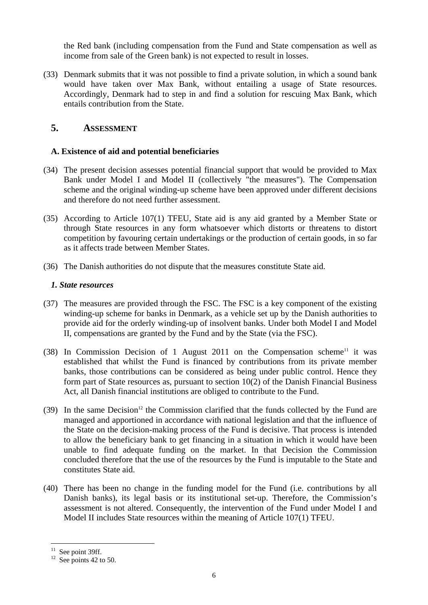the Red bank (including compensation from the Fund and State compensation as well as income from sale of the Green bank) is not expected to result in losses.

(33) Denmark submits that it was not possible to find a private solution, in which a sound bank would have taken over Max Bank, without entailing a usage of State resources. Accordingly, Denmark had to step in and find a solution for rescuing Max Bank, which entails contribution from the State.

## **5. ASSESSMENT**

### **A. Existence of aid and potential beneficiaries**

- (34) The present decision assesses potential financial support that would be provided to Max Bank under Model I and Model II (collectively "the measures"). The Compensation scheme and the original winding-up scheme have been approved under different decisions and therefore do not need further assessment.
- (35) According to Article 107(1) TFEU, State aid is any aid granted by a Member State or through State resources in any form whatsoever which distorts or threatens to distort competition by favouring certain undertakings or the production of certain goods, in so far as it affects trade between Member States.
- (36) The Danish authorities do not dispute that the measures constitute State aid.

#### *1. State resources*

- (37) The measures are provided through the FSC. The FSC is a key component of the existing winding-up scheme for banks in Denmark, as a vehicle set up by the Danish authorities to provide aid for the orderly winding-up of insolvent banks. Under both Model I and Model II, compensations are granted by the Fund and by the State (via the FSC).
- (38) In Commission Decision of 1 August 2011 on the Compensation scheme<sup>11</sup> it was established that whilst the Fund is financed by contributions from its private member banks, those contributions can be considered as being under public control. Hence they form part of State resources as, pursuant to section 10(2) of the Danish Financial Business Act, all Danish financial institutions are obliged to contribute to the Fund.
- $(39)$  In the same Decision<sup>12</sup> the Commission clarified that the funds collected by the Fund are managed and apportioned in accordance with national legislation and that the influence of the State on the decision-making process of the Fund is decisive. That process is intended to allow the beneficiary bank to get financing in a situation in which it would have been unable to find adequate funding on the market. In that Decision the Commission concluded therefore that the use of the resources by the Fund is imputable to the State and constitutes State aid.
- (40) There has been no change in the funding model for the Fund (i.e. contributions by all Danish banks), its legal basis or its institutional set-up. Therefore, the Commission's assessment is not altered. Consequently, the intervention of the Fund under Model I and Model II includes State resources within the meaning of Article 107(1) TFEU.

 $11$  See point 39ff.

 $12$  See points 42 to 50.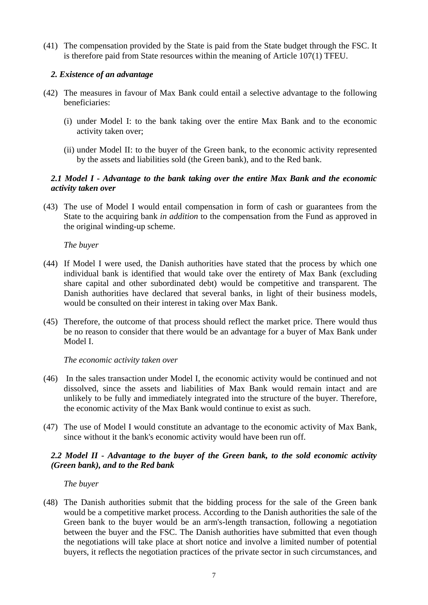(41) The compensation provided by the State is paid from the State budget through the FSC. It is therefore paid from State resources within the meaning of Article 107(1) TFEU.

### *2. Existence of an advantage*

- (42) The measures in favour of Max Bank could entail a selective advantage to the following beneficiaries:
	- (i) under Model I: to the bank taking over the entire Max Bank and to the economic activity taken over;
	- (ii) under Model II: to the buyer of the Green bank, to the economic activity represented by the assets and liabilities sold (the Green bank), and to the Red bank.

### *2.1 Model I - Advantage to the bank taking over the entire Max Bank and the economic activity taken over*

(43) The use of Model I would entail compensation in form of cash or guarantees from the State to the acquiring bank *in addition* to the compensation from the Fund as approved in the original winding-up scheme.

*The buyer*

- (44) If Model I were used, the Danish authorities have stated that the process by which one individual bank is identified that would take over the entirety of Max Bank (excluding share capital and other subordinated debt) would be competitive and transparent. The Danish authorities have declared that several banks, in light of their business models, would be consulted on their interest in taking over Max Bank.
- (45) Therefore, the outcome of that process should reflect the market price. There would thus be no reason to consider that there would be an advantage for a buyer of Max Bank under Model I.

#### *The economic activity taken over*

- (46) In the sales transaction under Model I, the economic activity would be continued and not dissolved, since the assets and liabilities of Max Bank would remain intact and are unlikely to be fully and immediately integrated into the structure of the buyer. Therefore, the economic activity of the Max Bank would continue to exist as such.
- (47) The use of Model I would constitute an advantage to the economic activity of Max Bank, since without it the bank's economic activity would have been run off.

### *2.2 Model II - Advantage to the buyer of the Green bank, to the sold economic activity (Green bank), and to the Red bank*

*The buyer*

(48) The Danish authorities submit that the bidding process for the sale of the Green bank would be a competitive market process. According to the Danish authorities the sale of the Green bank to the buyer would be an arm's-length transaction, following a negotiation between the buyer and the FSC. The Danish authorities have submitted that even though the negotiations will take place at short notice and involve a limited number of potential buyers, it reflects the negotiation practices of the private sector in such circumstances, and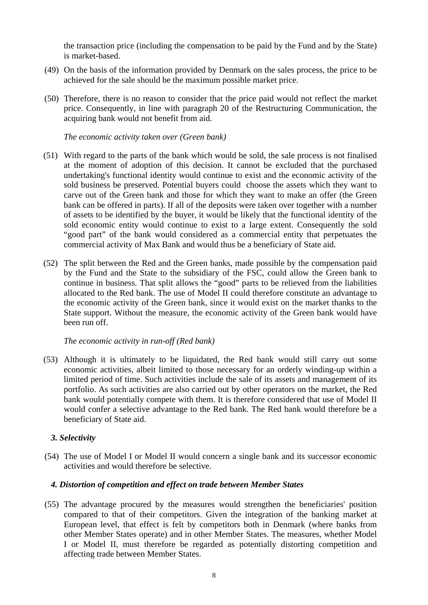the transaction price (including the compensation to be paid by the Fund and by the State) is market-based.

- (49) On the basis of the information provided by Denmark on the sales process, the price to be achieved for the sale should be the maximum possible market price.
- (50) Therefore, there is no reason to consider that the price paid would not reflect the market price. Consequently, in line with paragraph 20 of the Restructuring Communication, the acquiring bank would not benefit from aid.

*The economic activity taken over (Green bank)*

- (51) With regard to the parts of the bank which would be sold, the sale process is not finalised at the moment of adoption of this decision. It cannot be excluded that the purchased undertaking's functional identity would continue to exist and the economic activity of the sold business be preserved. Potential buyers could choose the assets which they want to carve out of the Green bank and those for which they want to make an offer (the Green bank can be offered in parts). If all of the deposits were taken over together with a number of assets to be identified by the buyer, it would be likely that the functional identity of the sold economic entity would continue to exist to a large extent. Consequently the sold "good part" of the bank would considered as a commercial entity that perpetuates the commercial activity of Max Bank and would thus be a beneficiary of State aid.
- (52) The split between the Red and the Green banks, made possible by the compensation paid by the Fund and the State to the subsidiary of the FSC, could allow the Green bank to continue in business. That split allows the "good" parts to be relieved from the liabilities allocated to the Red bank. The use of Model II could therefore constitute an advantage to the economic activity of the Green bank, since it would exist on the market thanks to the State support. Without the measure, the economic activity of the Green bank would have been run off.

*The economic activity in run-off (Red bank)*

(53) Although it is ultimately to be liquidated, the Red bank would still carry out some economic activities, albeit limited to those necessary for an orderly winding-up within a limited period of time. Such activities include the sale of its assets and management of its portfolio. As such activities are also carried out by other operators on the market, the Red bank would potentially compete with them. It is therefore considered that use of Model II would confer a selective advantage to the Red bank. The Red bank would therefore be a beneficiary of State aid.

#### *3. Selectivity*

(54) The use of Model I or Model II would concern a single bank and its successor economic activities and would therefore be selective.

#### *4. Distortion of competition and effect on trade between Member States*

(55) The advantage procured by the measures would strengthen the beneficiaries' position compared to that of their competitors. Given the integration of the banking market at European level, that effect is felt by competitors both in Denmark (where banks from other Member States operate) and in other Member States. The measures, whether Model I or Model II, must therefore be regarded as potentially distorting competition and affecting trade between Member States.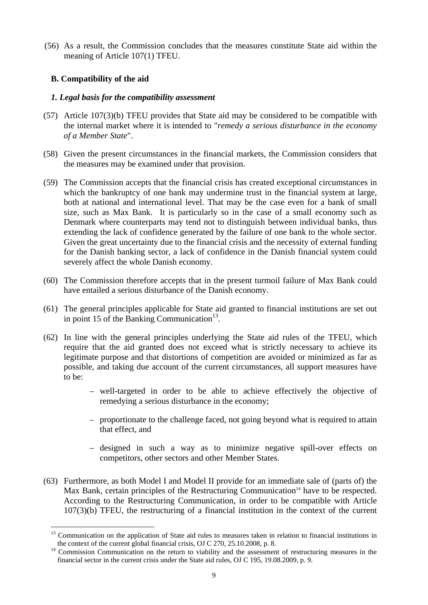(56) As a result, the Commission concludes that the measures constitute State aid within the meaning of Article 107(1) TFEU.

## **B. Compatibility of the aid**

### *1. Legal basis for the compatibility assessment*

- (57) Article 107(3)(b) TFEU provides that State aid may be considered to be compatible with the internal market where it is intended to "*remedy a serious disturbance in the economy of a Member State*".
- (58) Given the present circumstances in the financial markets, the Commission considers that the measures may be examined under that provision.
- (59) The Commission accepts that the financial crisis has created exceptional circumstances in which the bankruptcy of one bank may undermine trust in the financial system at large, both at national and international level. That may be the case even for a bank of small size, such as Max Bank. It is particularly so in the case of a small economy such as Denmark where counterparts may tend not to distinguish between individual banks, thus extending the lack of confidence generated by the failure of one bank to the whole sector. Given the great uncertainty due to the financial crisis and the necessity of external funding for the Danish banking sector, a lack of confidence in the Danish financial system could severely affect the whole Danish economy.
- (60) The Commission therefore accepts that in the present turmoil failure of Max Bank could have entailed a serious disturbance of the Danish economy.
- (61) The general principles applicable for State aid granted to financial institutions are set out in point 15 of the Banking Communication<sup>13</sup>.
- (62) In line with the general principles underlying the State aid rules of the TFEU, which require that the aid granted does not exceed what is strictly necessary to achieve its legitimate purpose and that distortions of competition are avoided or minimized as far as possible, and taking due account of the current circumstances, all support measures have to be:
	- well-targeted in order to be able to achieve effectively the objective of remedying a serious disturbance in the economy;
	- proportionate to the challenge faced, not going beyond what is required to attain that effect, and
	- designed in such a way as to minimize negative spill-over effects on competitors, other sectors and other Member States.
- (63) Furthermore, as both Model I and Model II provide for an immediate sale of (parts of) the Max Bank, certain principles of the Restructuring Communication<sup>14</sup> have to be respected. According to the Restructuring Communication, in order to be compatible with Article 107(3)(b) TFEU, the restructuring of a financial institution in the context of the current

<sup>1</sup> <sup>13</sup> Communication on the application of State aid rules to measures taken in relation to financial institutions in the context of the current global financial crisis, OJ C 270, 25.10.2008, p. 8.

the context of the current global financial crisis,  $\overline{O}$  27.10.10.10.2008, p. 8. 14 Commission Communication on the return to viability and the assessment of restructuring measures in the financial sector in the current crisis under the State aid rules, OJ C 195, 19.08.2009, p. 9.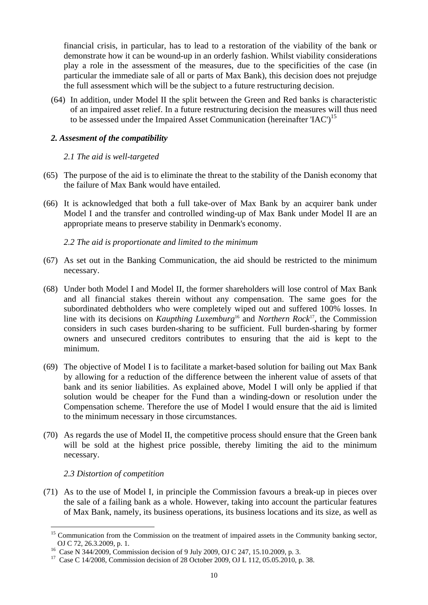financial crisis, in particular, has to lead to a restoration of the viability of the bank or demonstrate how it can be wound-up in an orderly fashion. Whilst viability considerations play a role in the assessment of the measures, due to the specificities of the case (in particular the immediate sale of all or parts of Max Bank), this decision does not prejudge the full assessment which will be the subject to a future restructuring decision.

(64) In addition, under Model II the split between the Green and Red banks is characteristic of an impaired asset relief. In a future restructuring decision the measures will thus need to be assessed under the Impaired Asset Communication (hereinafter 'IAC')<sup>15</sup>

### *2. Assesment of the compatibility*

#### *2.1 The aid is well-targeted*

- (65) The purpose of the aid is to eliminate the threat to the stability of the Danish economy that the failure of Max Bank would have entailed.
- (66) It is acknowledged that both a full take-over of Max Bank by an acquirer bank under Model I and the transfer and controlled winding-up of Max Bank under Model II are an appropriate means to preserve stability in Denmark's economy.

*2.2 The aid is proportionate and limited to the minimum* 

- (67) As set out in the Banking Communication, the aid should be restricted to the minimum necessary.
- (68) Under both Model I and Model II, the former shareholders will lose control of Max Bank and all financial stakes therein without any compensation. The same goes for the subordinated debtholders who were completely wiped out and suffered 100% losses. In line with its decisions on *Kaupthing Luxemburg*16 and *Northern Rock*17, the Commission considers in such cases burden-sharing to be sufficient. Full burden-sharing by former owners and unsecured creditors contributes to ensuring that the aid is kept to the minimum.
- (69) The objective of Model I is to facilitate a market-based solution for bailing out Max Bank by allowing for a reduction of the difference between the inherent value of assets of that bank and its senior liabilities. As explained above, Model I will only be applied if that solution would be cheaper for the Fund than a winding-down or resolution under the Compensation scheme. Therefore the use of Model I would ensure that the aid is limited to the minimum necessary in those circumstances.
- (70) As regards the use of Model II, the competitive process should ensure that the Green bank will be sold at the highest price possible, thereby limiting the aid to the minimum necessary.

#### *2.3 Distortion of competition*

1

(71) As to the use of Model I, in principle the Commission favours a break-up in pieces over the sale of a failing bank as a whole. However, taking into account the particular features of Max Bank, namely, its business operations, its business locations and its size, as well as

<sup>&</sup>lt;sup>15</sup> Communication from the Commission on the treatment of impaired assets in the Community banking sector, OJ C 72, 26.3.2009, p. 1.

<sup>&</sup>lt;sup>16</sup> Case N 344/2009, Commission decision of 9 July 2009, OJ C 247, 15.10.2009, p. 3.

<sup>&</sup>lt;sup>17</sup> Case C 14/2008, Commission decision of 28 October 2009, OJ L 112, 05.05.2010, p. 38.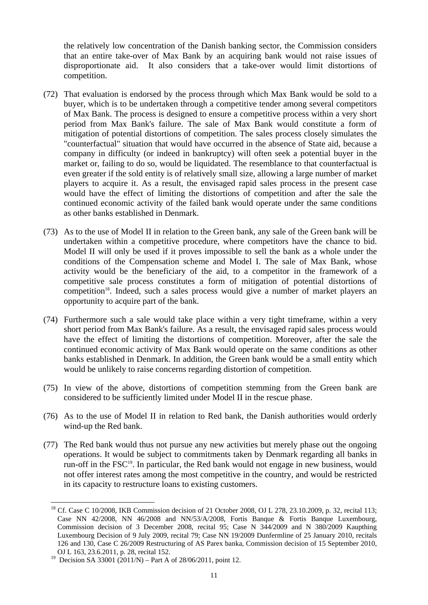the relatively low concentration of the Danish banking sector, the Commission considers that an entire take-over of Max Bank by an acquiring bank would not raise issues of disproportionate aid. It also considers that a take-over would limit distortions of competition.

- (72) That evaluation is endorsed by the process through which Max Bank would be sold to a buyer, which is to be undertaken through a competitive tender among several competitors of Max Bank. The process is designed to ensure a competitive process within a very short period from Max Bank's failure. The sale of Max Bank would constitute a form of mitigation of potential distortions of competition. The sales process closely simulates the "counterfactual" situation that would have occurred in the absence of State aid, because a company in difficulty (or indeed in bankruptcy) will often seek a potential buyer in the market or, failing to do so, would be liquidated. The resemblance to that counterfactual is even greater if the sold entity is of relatively small size, allowing a large number of market players to acquire it. As a result, the envisaged rapid sales process in the present case would have the effect of limiting the distortions of competition and after the sale the continued economic activity of the failed bank would operate under the same conditions as other banks established in Denmark.
- (73) As to the use of Model II in relation to the Green bank, any sale of the Green bank will be undertaken within a competitive procedure, where competitors have the chance to bid. Model II will only be used if it proves impossible to sell the bank as a whole under the conditions of the Compensation scheme and Model I. The sale of Max Bank, whose activity would be the beneficiary of the aid, to a competitor in the framework of a competitive sale process constitutes a form of mitigation of potential distortions of competition<sup>18</sup>. Indeed, such a sales process would give a number of market players an opportunity to acquire part of the bank.
- (74) Furthermore such a sale would take place within a very tight timeframe, within a very short period from Max Bank's failure. As a result, the envisaged rapid sales process would have the effect of limiting the distortions of competition. Moreover, after the sale the continued economic activity of Max Bank would operate on the same conditions as other banks established in Denmark. In addition, the Green bank would be a small entity which would be unlikely to raise concerns regarding distortion of competition.
- (75) In view of the above, distortions of competition stemming from the Green bank are considered to be sufficiently limited under Model II in the rescue phase.
- (76) As to the use of Model II in relation to Red bank, the Danish authorities would orderly wind-up the Red bank.
- (77) The Red bank would thus not pursue any new activities but merely phase out the ongoing operations. It would be subject to commitments taken by Denmark regarding all banks in run-off in the FSC<sup>19</sup>. In particular, the Red bank would not engage in new business, would not offer interest rates among the most competitive in the country, and would be restricted in its capacity to restructure loans to existing customers.

<sup>&</sup>lt;sup>18</sup> Cf. Case C 10/2008, IKB Commission decision of 21 October 2008, OJ L 278, 23.10.2009, p. 32, recital 113; Case NN 42/2008, NN 46/2008 and NN/53/A/2008, Fortis Banque & Fortis Banque Luxembourg, Commission decision of 3 December 2008, recital 95; Case N 344/2009 and N 380/2009 Kaupthing Luxembourg Decision of 9 July 2009, recital 79; Case NN 19/2009 Dunfermline of 25 January 2010, recitals 126 and 130, Case C 26/2009 Restructuring of AS Parex banka, Commission decision of 15 September 2010, OJ L 163, 23.6.2011, p. 28, recital 152.

<sup>&</sup>lt;sup>19</sup> Decision SA 33001 (2011/N) – Part A of 28/06/2011, point 12.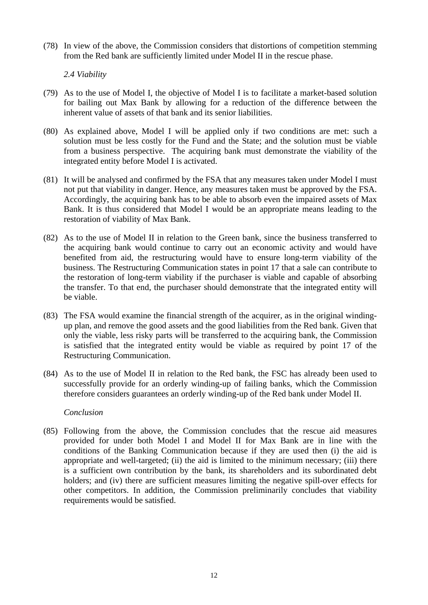(78) In view of the above, the Commission considers that distortions of competition stemming from the Red bank are sufficiently limited under Model II in the rescue phase.

*2.4 Viability* 

- (79) As to the use of Model I, the objective of Model I is to facilitate a market-based solution for bailing out Max Bank by allowing for a reduction of the difference between the inherent value of assets of that bank and its senior liabilities.
- (80) As explained above, Model I will be applied only if two conditions are met: such a solution must be less costly for the Fund and the State; and the solution must be viable from a business perspective. The acquiring bank must demonstrate the viability of the integrated entity before Model I is activated.
- (81) It will be analysed and confirmed by the FSA that any measures taken under Model I must not put that viability in danger. Hence, any measures taken must be approved by the FSA. Accordingly, the acquiring bank has to be able to absorb even the impaired assets of Max Bank. It is thus considered that Model I would be an appropriate means leading to the restoration of viability of Max Bank.
- (82) As to the use of Model II in relation to the Green bank, since the business transferred to the acquiring bank would continue to carry out an economic activity and would have benefited from aid, the restructuring would have to ensure long-term viability of the business. The Restructuring Communication states in point 17 that a sale can contribute to the restoration of long-term viability if the purchaser is viable and capable of absorbing the transfer. To that end, the purchaser should demonstrate that the integrated entity will be viable.
- (83) The FSA would examine the financial strength of the acquirer, as in the original windingup plan, and remove the good assets and the good liabilities from the Red bank. Given that only the viable, less risky parts will be transferred to the acquiring bank, the Commission is satisfied that the integrated entity would be viable as required by point 17 of the Restructuring Communication.
- (84) As to the use of Model II in relation to the Red bank, the FSC has already been used to successfully provide for an orderly winding-up of failing banks, which the Commission therefore considers guarantees an orderly winding-up of the Red bank under Model II.

#### *Conclusion*

(85) Following from the above, the Commission concludes that the rescue aid measures provided for under both Model I and Model II for Max Bank are in line with the conditions of the Banking Communication because if they are used then (i) the aid is appropriate and well-targeted; (ii) the aid is limited to the minimum necessary; (iii) there is a sufficient own contribution by the bank, its shareholders and its subordinated debt holders; and (iv) there are sufficient measures limiting the negative spill-over effects for other competitors. In addition, the Commission preliminarily concludes that viability requirements would be satisfied.